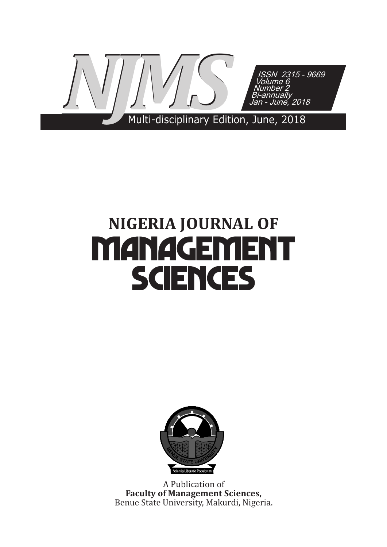

# **NIGERIA JOURNAL OF Management Sciences**



A Publication of **Faculty of Management Sciences,**  Benue State University, Makurdi, Nigeria.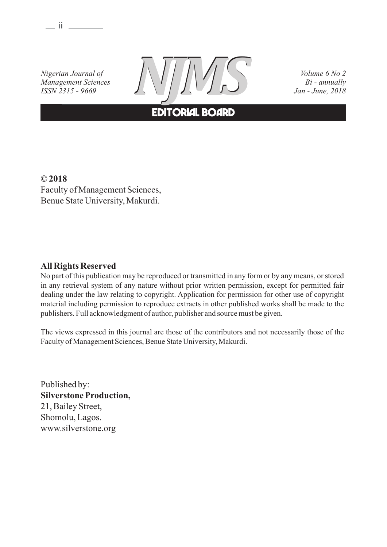$\equiv$  ii  $\equiv$ 

*Nigerian Journal of Management Sciences ISSN 2315 - 9669*



*Volume 6 No 2*

# **EDITORIAL BOARD**

**© 2018** Faculty of Management Sciences, Benue State University, Makurdi.

#### **All Rights Reserved**

No part of this publication may be reproduced or transmitted in any form or by any means, or stored in any retrieval system of any nature without prior written permission, except for permitted fair dealing under the law relating to copyright. Application for permission for other use of copyright material including permission to reproduce extracts in other published works shall be made to the publishers. Full acknowledgment of author, publisher and source must be given.

The views expressed in this journal are those of the contributors and not necessarily those of the Faculty of Management Sciences, Benue State University, Makurdi.

Published by: **Silverstone Production,** 21, Bailey Street, Shomolu, Lagos. www.silverstone.org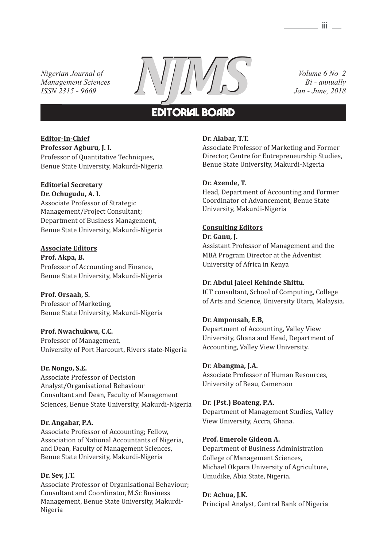*Nigerian Journal of Management Sciences ISSN 2315 - 9669*



*Volume 6 No 2*

# **EDITORIAL BOARD**

#### **Editor-In-Chief Professor Agburu, J. I.**

Professor of Quantitative Techniques, Benue State University, Makurdi-Nigeria

### **Editorial Secretary**

**Dr. Ochugudu, A. I.**

Associate Professor of Strategic Management/Project Consultant; Department of Business Management, Benue State University, Makurdi-Nigeria

#### **Associate Editors**

**Prof. Akpa, B.** Professor of Accounting and Finance, Benue State University, Makurdi-Nigeria

**Prof. Orsaah, S.** Professor of Marketing, Benue State University, Makurdi-Nigeria

#### **Prof. Nwachukwu, C.C.**

Professor of Management, University of Port Harcourt, Rivers state-Nigeria

#### **Dr. Nongo, S.E.**

Associate Professor of Decision Analyst/Organisational Behaviour Consultant and Dean, Faculty of Management Sciences, Benue State University, Makurdi-Nigeria

#### **Dr. Angahar, P.A.**

Associate Professor of Accounting; Fellow, Association of National Accountants of Nigeria, and Dean, Faculty of Management Sciences, Benue State University, Makurdi-Nigeria

#### **Dr. Sev, J.T.**

Associate Professor of Organisational Behaviour; Consultant and Coordinator, M.Sc Business Management, Benue State University, Makurdi-Nigeria

#### **Dr. Alabar, T.T.**

Associate Professor of Marketing and Former Director, Centre for Entrepreneurship Studies, Benue State University, Makurdi-Nigeria

#### **Dr. Azende, T.**

Head, Department of Accounting and Former Coordinator of Advancement, Benue State University, Makurdi-Nigeria

#### **Consulting Editors**

**Dr. Ganu, J.** Assistant Professor of Management and the MBA Program Director at the Adventist University of Africa in Kenya

#### **Dr. Abdul Jaleel Kehinde Shittu.**

ICT consultant, School of Computing, College of Arts and Science, University Utara, Malaysia.

#### **Dr. Amponsah, E.B,**

Department of Accounting, Valley View University, Ghana and Head, Department of Accounting, Valley View University.

#### **Dr. Abangma, J.A.**

Associate Professor of Human Resources, University of Beau, Cameroon

#### **Dr. (Pst.) Boateng, P.A.**

Department of Management Studies, Valley View University, Accra, Ghana.

#### **Prof. Emerole Gideon A.**

Department of Business Administration College of Management Sciences, Michael Okpara University of Agriculture, Umudike, Abia State, Nigeria.

#### **Dr. Achua, J.K.**

Principal Analyst, Central Bank of Nigeria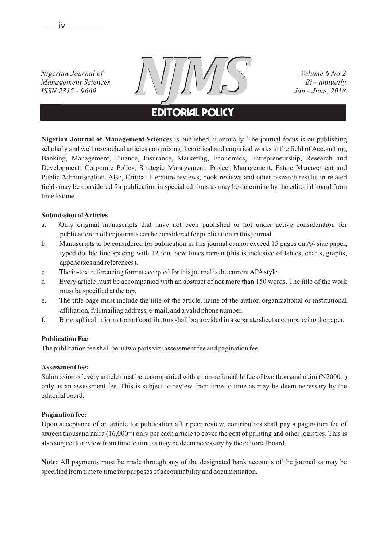$-$  iv  $-$ 

*Nigerian Journal of Management Sciences ISSN 2315 - 9669*



*Volume 6 No 2*

# **EDITORIAL policy**

**Nigerian Journal of Management Sciences** is published bi-annually. The journal focus is on publishing scholarly and well researched articles comprising theoretical and empirical works in the field of Accounting, Banking, Management, Finance, Insurance, Marketing, Economics, Entrepreneurship, Research and Development, Corporate Policy, Strategic Management, Project Management, Estate Management and Public Administration. Also, Critical literature reviews, book reviews and other research results in related fields may be considered for publication in special editions as may be determine by the editorial board from time to time.

#### **Submission of Articles**

- a. Only original manuscripts that have not been published or not under active consideration for publication in other journals can be considered for publication in this journal.
- b. Manuscripts to be considered for publication in this journal cannot exceed 15 pages on A4 size paper, typed double line spacing with 12 font new times roman (this is inclusive of tables, charts, graphs, appendixes and references).
- c. The in-text referencing format accepted for this journal is the current APAstyle.
- d. Every article must be accompanied with an abstract of not more than 150 words. The title of the work must be specified at the top.
- e. The title page must include the title of the article, name of the author, organizational or institutional affiliation, full mailing address, e-mail, and a valid phone number.
- f. Biographical information of contributors shall be provided in a separate sheet accompanying the paper.

#### **Publication Fee**

The publication fee shall be in two parts viz: assessment fee and pagination fee.

#### **Assessment fee:**

Submission of every article must be accompanied with a non-refundable fee of two thousand naira (N2000=) only as an assessment fee. This is subject to review from time to time as may be deem necessary by the editorial board.

#### **Pagination fee:**

Upon acceptance of an article for publication after peer review, contributors shall pay a pagination fee of sixteen thousand naira (16,000=) only per each article to cover the cost of printing and other logistics. This is also subject to review from time to time as may be deem necessary by the editorial board.

**Note:** All payments must be made through any of the designated bank accounts of the journal as may be specified from time to time for purposes of accountability and documentation.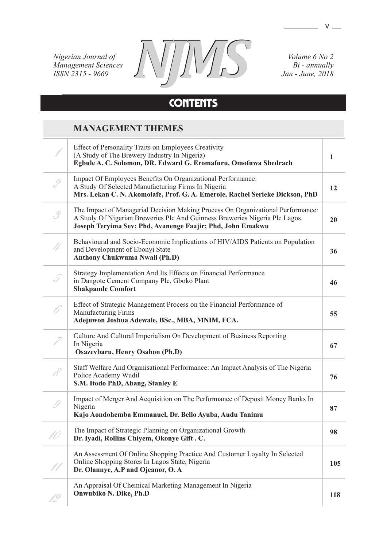*Nigerian Journal of Management Sciences ISSN 2315 - 9669*



*Volume 6 No 2*

# **contents**

### **MANAGEMENT THEMES**

|               | <b>Effect of Personality Traits on Employees Creativity</b><br>(A Study of The Brewery Industry In Nigeria)<br>Egbule A. C. Solomon, DR. Edward G. Eromafuru, Omofuwa Shedrach                                               | 1   |
|---------------|------------------------------------------------------------------------------------------------------------------------------------------------------------------------------------------------------------------------------|-----|
| $\mathscr{D}$ | Impact Of Employees Benefits On Organizational Performance:<br>A Study Of Selected Manufacturing Firms In Nigeria<br>Mrs. Lekan C. N. Akomolafe, Prof. G. A. Emerole, Rachel Serieke Dickson, PhD                            | 12  |
| , Z           | The Impact of Managerial Decision Making Process On Organizational Performance:<br>A Study Of Nigerian Breweries Plc And Guinness Breweries Nigeria Plc Lagos.<br>Joseph Teryima Sev; Phd, Avanenge Faajir; Phd, John Emakwu | 20  |
|               | Behavioural and Socio-Economic Implications of HIV/AIDS Patients on Population<br>and Development of Ebonyi State<br><b>Anthony Chukwuma Nwali (Ph.D)</b>                                                                    | 36  |
| 5.            | Strategy Implementation And Its Effects on Financial Performance<br>in Dangote Cement Company Plc, Gboko Plant<br><b>Shakpande Comfort</b>                                                                                   | 46  |
|               | Effect of Strategic Management Process on the Financial Performance of<br><b>Manufacturing Firms</b><br>Adejuwon Joshua Adewale, BSc., MBA, MNIM, FCA.                                                                       | 55  |
|               | Culture And Cultural Imperialism On Development of Business Reporting<br>In Nigeria<br>Osazevbaru, Henry Osahon (Ph.D)                                                                                                       | 67  |
| $\mathcal{J}$ | Staff Welfare And Organisational Performance: An Impact Analysis of The Nigeria<br>Police Academy Wudil<br>S.M. Itodo PhD, Abang, Stanley E                                                                                  | 76  |
| $\mathscr{G}$ | Impact of Merger And Acquisition on The Performance of Deposit Money Banks In<br>Nigeria<br>Kajo Aondohemba Emmanuel, Dr. Bello Ayuba, Audu Tanimu                                                                           | 87  |
|               | The Impact of Strategic Planning on Organizational Growth<br>Dr. Iyadi, Rollins Chiyem, Okonye Gift. C.                                                                                                                      | 98  |
|               | An Assessment Of Online Shopping Practice And Customer Loyalty In Selected<br>Online Shopping Stores In Lagos State, Nigeria<br>Dr. Olannye, A.P and Ojeanor, O.A                                                            | 105 |
| 12            | An Appraisal Of Chemical Marketing Management In Nigeria<br>Onwubiko N. Dike, Ph.D                                                                                                                                           | 118 |

 $\overline{\phantom{a}}$  v  $\overline{\phantom{a}}$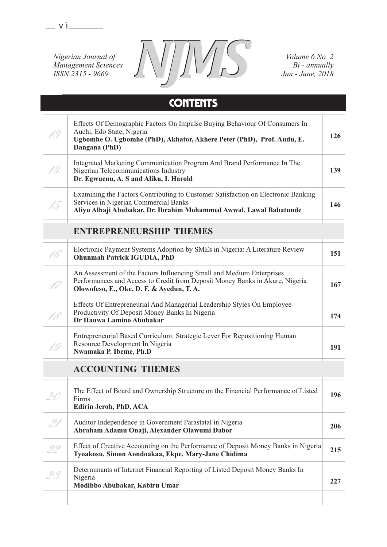$-$  v i $-$ 

*Nigerian Journal of Management Sciences ISSN 2315 - 9669*



*Volume 6 No 2*

|                                | <b>CONTENTS</b>                                                                                                                                                                                    |     |
|--------------------------------|----------------------------------------------------------------------------------------------------------------------------------------------------------------------------------------------------|-----|
|                                | Effects Of Demographic Factors On Impulse Buying Behaviour Of Consumers In<br>Auchi, Edo State, Nigeria<br>Ugbomhe O. Ugbomhe (PhD), Akhator, Akhere Peter (PhD), Prof. Audu, E.<br>Dangana (PhD)  | 126 |
| 14                             | Integrated Marketing Communication Program And Brand Performance In The<br>Nigerian Telecommunications Industry<br>Dr. Egwuenu, A. S and Aliku, I. Harold                                          | 139 |
|                                | Examining the Factors Contributing to Customer Satisfaction on Electronic Banking<br>Services in Nigerian Commercial Banks<br>Aliyu Alhaji Abubakar, Dr. Ibrahim Mohammed Awwal, Lawal Babatunde   | 146 |
| <b>ENTREPRENEURSHIP THEMES</b> |                                                                                                                                                                                                    |     |
|                                | Electronic Payment Systems Adoption by SMEs in Nigeria: A Literature Review<br><b>Ohunmah Patrick IGUDIA, PhD</b>                                                                                  | 151 |
|                                | An Assessment of the Factors Influencing Small and Medium Enterprises<br>Performances and Access to Credit from Deposit Money Banks in Akure, Nigeria<br>Olowofeso, E., Oke, D. F. & Ayedun, T. A. | 167 |
|                                | Effects Of Entrepreneurial And Managerial Leadership Styles On Employee<br>Productivity Of Deposit Money Banks In Nigeria<br>Dr Hauwa Lamino Abubakar                                              | 174 |
| 19                             | Entrepreneurial Based Curriculum: Strategic Lever For Repositioning Human<br>Resource Development In Nigeria<br>Nwamaka P. Ibeme, Ph.D                                                             | 191 |
| <b>ACCOUNTING THEMES</b>       |                                                                                                                                                                                                    |     |
|                                | The Effect of Board and Ownership Structure on the Financial Performance of Listed<br>Firms<br>Edirin Jeroh, PhD, ACA                                                                              | 196 |
| 21                             | Auditor Independence in Government Parastatal in Nigeria<br>Abraham Adamu Onaji, Alexander Olawumi Dabor                                                                                           | 206 |
| 22                             | Effect of Creative Accounting on the Performance of Deposit Money Banks in Nigeria<br>Tyoakosu, Simon Aondoakaa, Ekpe, Mary-Jane Chidima                                                           | 215 |
|                                | Determinants of Internet Financial Reporting of Listed Deposit Money Banks In<br>Nigeria<br>Modibbo Abubakar, Kabiru Umar                                                                          | 227 |
|                                |                                                                                                                                                                                                    |     |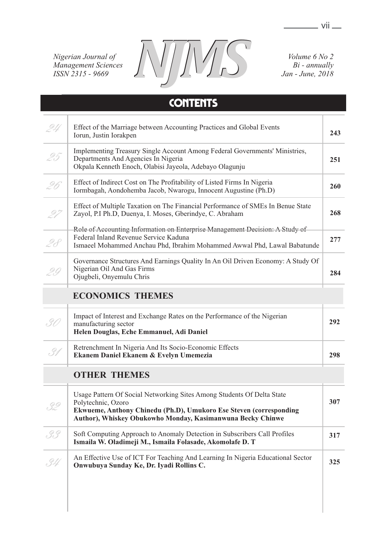$\frac{1}{\sqrt{1-\frac{1}{2}}}$  vii

*Nigerian Journal of Management Sciences ISSN 2315 - 9669*

T



*Volume 6 No 2*

# **contents**

|     | Effect of the Marriage between Accounting Practices and Global Events<br>Iorun, Justin Iorakpen                                                                                                   | 243 |
|-----|---------------------------------------------------------------------------------------------------------------------------------------------------------------------------------------------------|-----|
| 95  | Implementing Treasury Single Account Among Federal Governments' Ministries,<br>Departments And Agencies In Nigeria<br>Okpala Kenneth Enoch, Olabisi Jayeola, Adebayo Olagunju                     | 251 |
| 9ĥ  | Effect of Indirect Cost on The Profitability of Listed Firms In Nigeria<br>Iormbagah, Aondohemba Jacob, Nwarogu, Innocent Augustine (Ph.D)                                                        | 260 |
|     | Effect of Multiple Taxation on The Financial Performance of SMEs In Benue State<br>Zayol, P.I Ph.D, Duenya, I. Moses, Gberindye, C. Abraham                                                       | 268 |
| 9 A | Role of Accounting Information on Enterprise Management Decision: A Study of<br>Federal Inland Revenue Service Kaduna<br>Ismaeel Mohammed Anchau Phd, Ibrahim Mohammed Awwal Phd, Lawal Babatunde | 277 |
| Υ,  | Governance Structures And Earnings Quality In An Oil Driven Economy: A Study Of<br>Nigerian Oil And Gas Firms<br>Ojugbeli, Onyemulu Chris                                                         | 284 |

## **ECONOMICS THEMES**

|    | Impact of Interest and Exchange Rates on the Performance of the Nigerian<br>manufacturing sector<br>Helen Douglas, Eche Emmanuel, Adi Daniel | 292 |
|----|----------------------------------------------------------------------------------------------------------------------------------------------|-----|
| 31 | Retrenchment In Nigeria And Its Socio-Economic Effects<br>Ekanem Daniel Ekanem & Evelyn Umemezia                                             | 298 |

# **OTHER THEMES**

| .32 | Usage Pattern Of Social Networking Sites Among Students Of Delta State<br>Polytechnic, Ozoro<br>Ekwueme, Anthony Chinedu (Ph.D), Umukoro Ese Steven (corresponding<br>Author), Whiskey Obukowho Monday, Kasimanwuna Becky Chinwe | 307 |
|-----|----------------------------------------------------------------------------------------------------------------------------------------------------------------------------------------------------------------------------------|-----|
| 3.9 | Soft Computing Approach to Anomaly Detection in Subscribers Call Profiles<br>Ismaila W. Oladimeji M., Ismaila Folasade, Akomolafe D. T                                                                                           | 317 |
| .34 | An Effective Use of ICT For Teaching And Learning In Nigeria Educational Sector<br>Onwubuya Sunday Ke, Dr. Iyadi Rollins C.                                                                                                      | 325 |